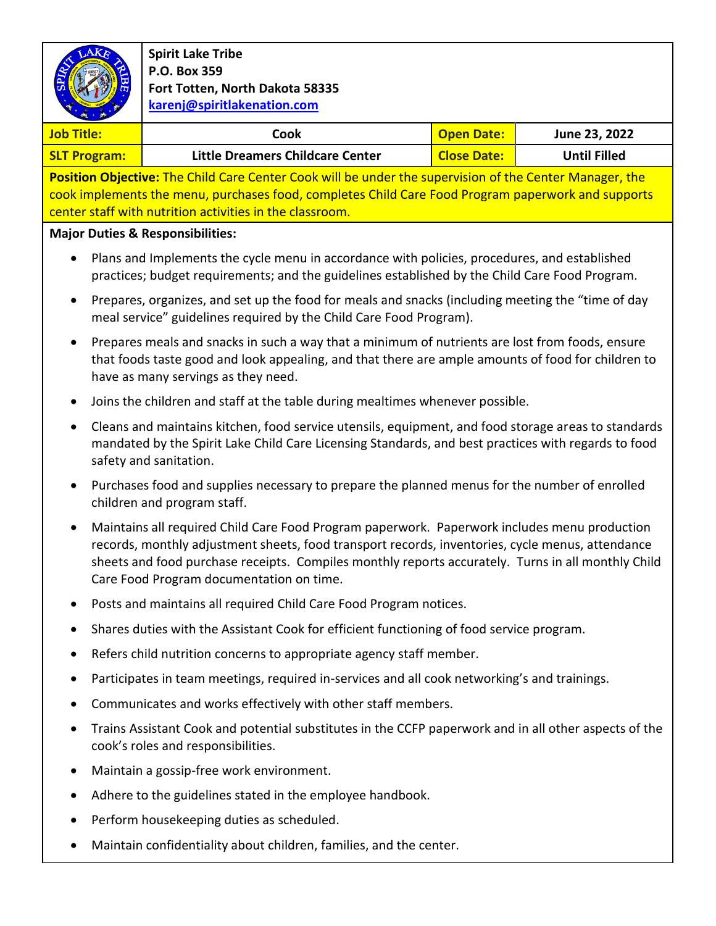

## **Spirit Lake Tribe P.O. Box 359 Fort Totten, North Dakota 58335 karenj@spiritlakenation.com**

| <b>Job Title:</b>   | Cook                             | <b>Open Date:</b>  | June 23, 2022       |
|---------------------|----------------------------------|--------------------|---------------------|
| <b>SLT Program:</b> | Little Dreamers Childcare Center | <b>Close Date:</b> | <b>Until Filled</b> |

**Position Objective:** The Child Care Center Cook will be under the supervision of the Center Manager, the cook implements the menu, purchases food, completes Child Care Food Program paperwork and supports center staff with nutrition activities in the classroom.

## **Major Duties & Responsibilities:**

- Plans and Implements the cycle menu in accordance with policies, procedures, and established practices; budget requirements; and the guidelines established by the Child Care Food Program.
- Prepares, organizes, and set up the food for meals and snacks (including meeting the "time of day meal service" guidelines required by the Child Care Food Program).
- Prepares meals and snacks in such a way that a minimum of nutrients are lost from foods, ensure that foods taste good and look appealing, and that there are ample amounts of food for children to have as many servings as they need.
- Joins the children and staff at the table during mealtimes whenever possible.
- Cleans and maintains kitchen, food service utensils, equipment, and food storage areas to standards mandated by the Spirit Lake Child Care Licensing Standards, and best practices with regards to food safety and sanitation.
- Purchases food and supplies necessary to prepare the planned menus for the number of enrolled children and program staff.
- Maintains all required Child Care Food Program paperwork. Paperwork includes menu production records, monthly adjustment sheets, food transport records, inventories, cycle menus, attendance sheets and food purchase receipts. Compiles monthly reports accurately. Turns in all monthly Child Care Food Program documentation on time.
- Posts and maintains all required Child Care Food Program notices.
- Shares duties with the Assistant Cook for efficient functioning of food service program.
- Refers child nutrition concerns to appropriate agency staff member.
- Participates in team meetings, required in-services and all cook networking's and trainings.
- Communicates and works effectively with other staff members.
- Trains Assistant Cook and potential substitutes in the CCFP paperwork and in all other aspects of the cook's roles and responsibilities.
- Maintain a gossip-free work environment.
- Adhere to the guidelines stated in the employee handbook.
- Perform housekeeping duties as scheduled.
- Maintain confidentiality about children, families, and the center.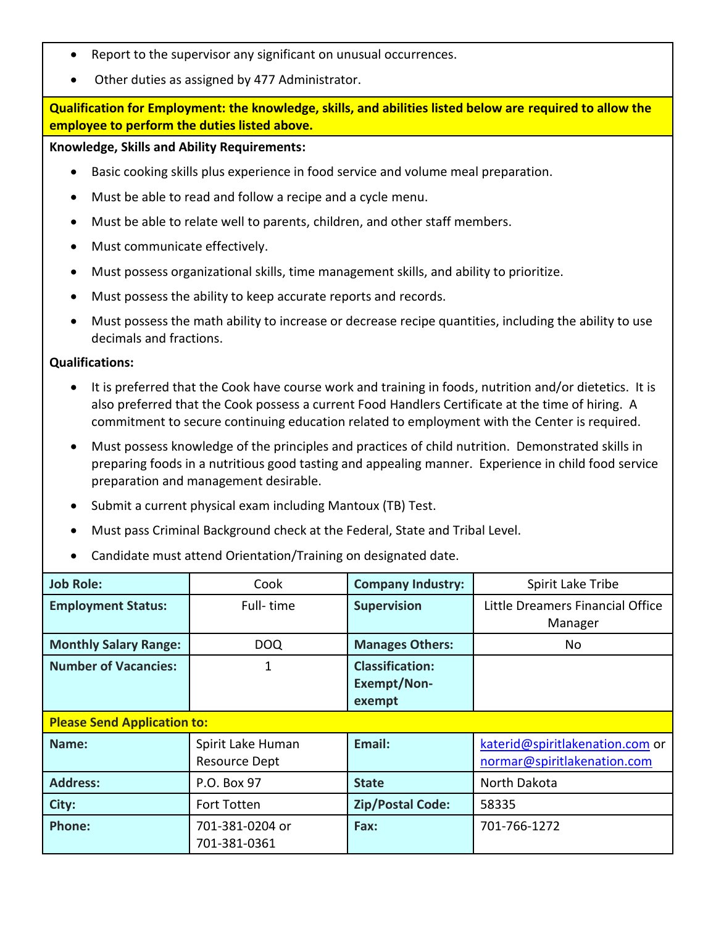- Report to the supervisor any significant on unusual occurrences.
- Other duties as assigned by 477 Administrator.

**Qualification for Employment: the knowledge, skills, and abilities listed below are required to allow the employee to perform the duties listed above.**

## **Knowledge, Skills and Ability Requirements:**

- Basic cooking skills plus experience in food service and volume meal preparation.
- Must be able to read and follow a recipe and a cycle menu.
- Must be able to relate well to parents, children, and other staff members.
- Must communicate effectively.
- Must possess organizational skills, time management skills, and ability to prioritize.
- Must possess the ability to keep accurate reports and records.
- Must possess the math ability to increase or decrease recipe quantities, including the ability to use decimals and fractions.

## **Qualifications:**

- It is preferred that the Cook have course work and training in foods, nutrition and/or dietetics. It is also preferred that the Cook possess a current Food Handlers Certificate at the time of hiring. A commitment to secure continuing education related to employment with the Center is required.
- Must possess knowledge of the principles and practices of child nutrition. Demonstrated skills in preparing foods in a nutritious good tasting and appealing manner. Experience in child food service preparation and management desirable.
- Submit a current physical exam including Mantoux (TB) Test.
- Must pass Criminal Background check at the Federal, State and Tribal Level.
- Candidate must attend Orientation/Training on designated date.

| <b>Job Role:</b>                   | Cook                                      | <b>Company Industry:</b>                               | Spirit Lake Tribe                                              |  |
|------------------------------------|-------------------------------------------|--------------------------------------------------------|----------------------------------------------------------------|--|
| <b>Employment Status:</b>          | Full-time                                 | <b>Supervision</b>                                     | Little Dreamers Financial Office<br>Manager                    |  |
| <b>Monthly Salary Range:</b>       | <b>DOQ</b>                                | <b>Manages Others:</b>                                 | No                                                             |  |
| <b>Number of Vacancies:</b>        | 1                                         | <b>Classification:</b><br><b>Exempt/Non-</b><br>exempt |                                                                |  |
| <b>Please Send Application to:</b> |                                           |                                                        |                                                                |  |
| Name:                              | Spirit Lake Human<br><b>Resource Dept</b> | Email:                                                 | katerid@spiritlakenation.com or<br>normar@spiritlakenation.com |  |
| <b>Address:</b>                    | P.O. Box 97                               | <b>State</b>                                           | North Dakota                                                   |  |
| City:                              | <b>Fort Totten</b>                        | <b>Zip/Postal Code:</b>                                | 58335                                                          |  |
| <b>Phone:</b>                      | 701-381-0204 or<br>701-381-0361           | Fax:                                                   | 701-766-1272                                                   |  |